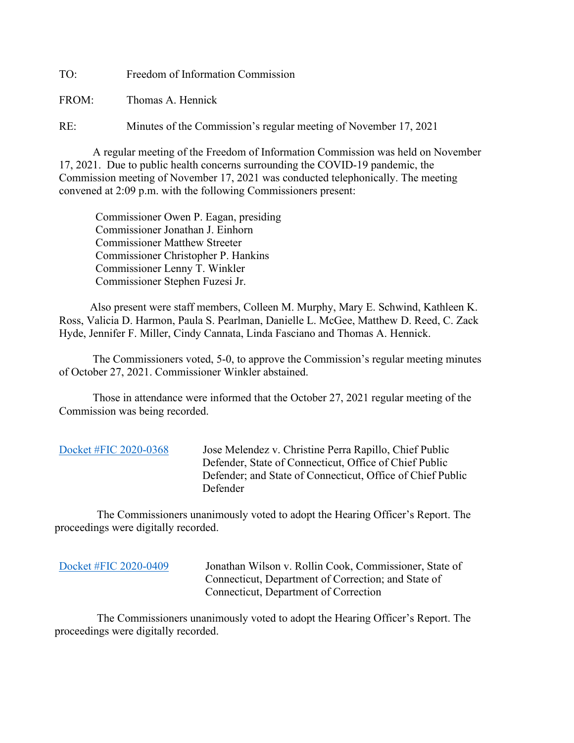TO: Freedom of Information Commission

FROM: Thomas A. Hennick

RE: Minutes of the Commission's regular meeting of November 17, 2021

A regular meeting of the Freedom of Information Commission was held on November 17, 2021. Due to public health concerns surrounding the COVID-19 pandemic, the Commission meeting of November 17, 2021 was conducted telephonically. The meeting convened at 2:09 p.m. with the following Commissioners present:

 Commissioner Owen P. Eagan, presiding Commissioner Jonathan J. Einhorn Commissioner Matthew Streeter Commissioner Christopher P. Hankins Commissioner Lenny T. Winkler Commissioner Stephen Fuzesi Jr.

 Also present were staff members, Colleen M. Murphy, Mary E. Schwind, Kathleen K. Ross, Valicia D. Harmon, Paula S. Pearlman, Danielle L. McGee, Matthew D. Reed, C. Zack Hyde, Jennifer F. Miller, Cindy Cannata, Linda Fasciano and Thomas A. Hennick.

The Commissioners voted, 5-0, to approve the Commission's regular meeting minutes of October 27, 2021. Commissioner Winkler abstained.

 Those in attendance were informed that the October 27, 2021 regular meeting of the Commission was being recorded.

| Docket #FIC 2020-0368 | Jose Melendez v. Christine Perra Rapillo, Chief Public<br>Defender, State of Connecticut, Office of Chief Public<br>Defender; and State of Connecticut, Office of Chief Public |
|-----------------------|--------------------------------------------------------------------------------------------------------------------------------------------------------------------------------|
|                       | Defender                                                                                                                                                                       |

 The Commissioners unanimously voted to adopt the Hearing Officer's Report. The proceedings were digitally recorded.

[Docket #FIC 2020-0409](https://portal.ct.gov/-/media/FOI/FinalDecisions/2021/Nov17/2020-0409.pdf) Jonathan Wilson v. Rollin Cook, Commissioner, State of Connecticut, Department of Correction; and State of Connecticut, Department of Correction

 The Commissioners unanimously voted to adopt the Hearing Officer's Report. The proceedings were digitally recorded.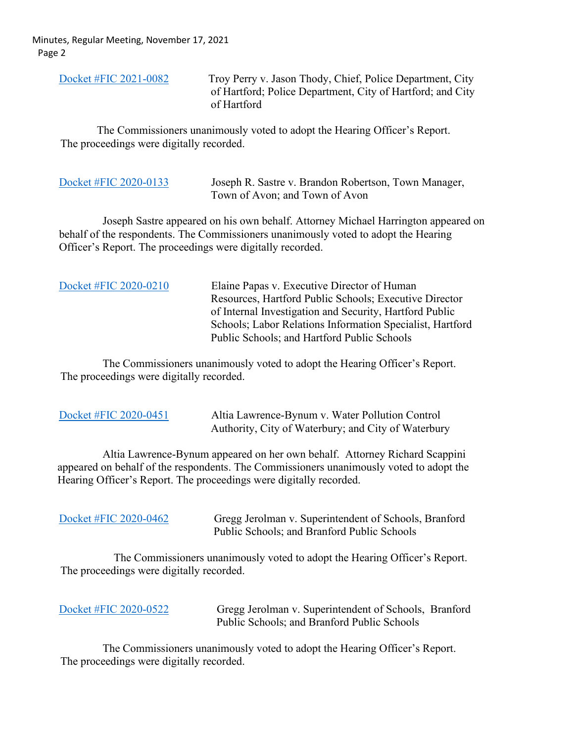Minutes, Regular Meeting, November 17, 2021 Page 2

[Docket #FIC 2021-0082](https://portal.ct.gov/-/media/FOI/FinalDecisions/2021/Nov17/2021-0082.pdf) Troy Perry v. Jason Thody, Chief, Police Department, City of Hartford; Police Department, City of Hartford; and City of Hartford

 The Commissioners unanimously voted to adopt the Hearing Officer's Report. The proceedings were digitally recorded.

| Docket #FIC 2020-0133 |  |
|-----------------------|--|
|-----------------------|--|

Joseph R. Sastre v. Brandon Robertson, Town Manager, Town of Avon; and Town of Avon

 Joseph Sastre appeared on his own behalf. Attorney Michael Harrington appeared on behalf of the respondents. The Commissioners unanimously voted to adopt the Hearing Officer's Report. The proceedings were digitally recorded.

[Docket #FIC 2020-0210](https://portal.ct.gov/-/media/FOI/FinalDecisions/2021/Nov17/2020-0210.pdf) Elaine Papas v. Executive Director of Human Resources, Hartford Public Schools; Executive Director of Internal Investigation and Security, Hartford Public Schools; Labor Relations Information Specialist, Hartford Public Schools; and Hartford Public Schools

 The Commissioners unanimously voted to adopt the Hearing Officer's Report. The proceedings were digitally recorded.

| Docket #FIC 2020-0451 | Altia Law |
|-----------------------|-----------|
|                       | $A = 11$  |

rence-Bynum v. Water Pollution Control Authority, City of Waterbury; and City of Waterbury

 Altia Lawrence-Bynum appeared on her own behalf. Attorney Richard Scappini appeared on behalf of the respondents. The Commissioners unanimously voted to adopt the Hearing Officer's Report. The proceedings were digitally recorded.

[Docket #FIC 2020-0462](https://portal.ct.gov/-/media/FOI/FinalDecisions/2021/Nov17/2020-0462.pdf) Gregg Jerolman v. Superintendent of Schools, Branford Public Schools; and Branford Public Schools

 The Commissioners unanimously voted to adopt the Hearing Officer's Report. The proceedings were digitally recorded.

| Docket #FIC 2020-0522 |  |
|-----------------------|--|
|-----------------------|--|

Gregg Jerolman v. Superintendent of Schools, Branford Public Schools; and Branford Public Schools

 The Commissioners unanimously voted to adopt the Hearing Officer's Report. The proceedings were digitally recorded.